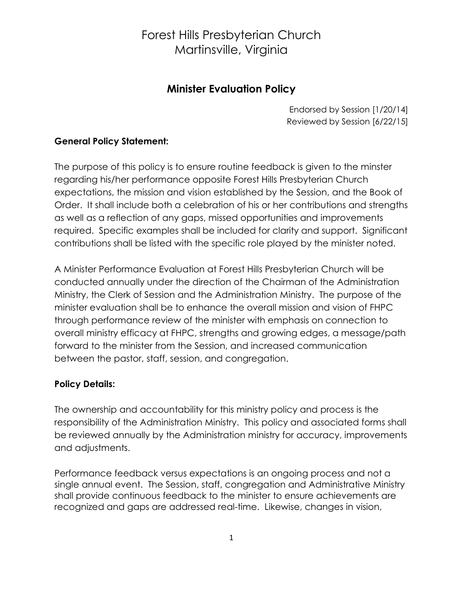#### **Minister Evaluation Policy**

Endorsed by Session [1/20/14] Reviewed by Session [6/22/15]

#### **General Policy Statement:**

The purpose of this policy is to ensure routine feedback is given to the minster regarding his/her performance opposite Forest Hills Presbyterian Church expectations, the mission and vision established by the Session, and the Book of Order. It shall include both a celebration of his or her contributions and strengths as well as a reflection of any gaps, missed opportunities and improvements required. Specific examples shall be included for clarity and support. Significant contributions shall be listed with the specific role played by the minister noted.

A Minister Performance Evaluation at Forest Hills Presbyterian Church will be conducted annually under the direction of the Chairman of the Administration Ministry, the Clerk of Session and the Administration Ministry. The purpose of the minister evaluation shall be to enhance the overall mission and vision of FHPC through performance review of the minister with emphasis on connection to overall ministry efficacy at FHPC, strengths and growing edges, a message/path forward to the minister from the Session, and increased communication between the pastor, staff, session, and congregation.

#### **Policy Details:**

The ownership and accountability for this ministry policy and process is the responsibility of the Administration Ministry. This policy and associated forms shall be reviewed annually by the Administration ministry for accuracy, improvements and adjustments.

Performance feedback versus expectations is an ongoing process and not a single annual event. The Session, staff, congregation and Administrative Ministry shall provide continuous feedback to the minister to ensure achievements are recognized and gaps are addressed real-time. Likewise, changes in vision,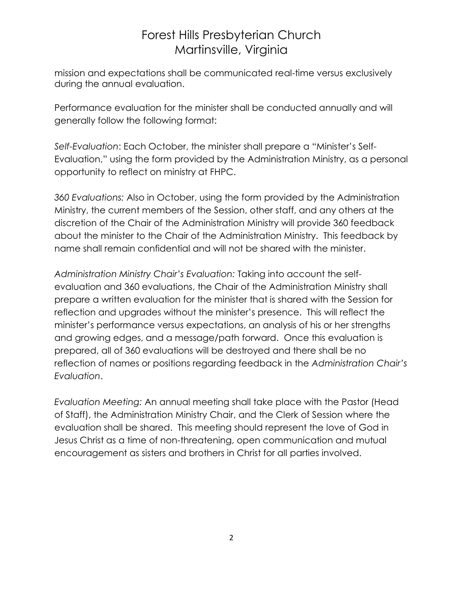mission and expectations shall be communicated real-time versus exclusively during the annual evaluation.

Performance evaluation for the minister shall be conducted annually and will generally follow the following format:

*Self-Evaluation*: Each October, the minister shall prepare a "Minister's Self-Evaluation," using the form provided by the Administration Ministry, as a personal opportunity to reflect on ministry at FHPC.

*360 Evaluations:* Also in October, using the form provided by the Administration Ministry, the current members of the Session, other staff, and any others at the discretion of the Chair of the Administration Ministry will provide 360 feedback about the minister to the Chair of the Administration Ministry. This feedback by name shall remain confidential and will not be shared with the minister.

*Administration Ministry Chair's Evaluation:* Taking into account the selfevaluation and 360 evaluations, the Chair of the Administration Ministry shall prepare a written evaluation for the minister that is shared with the Session for reflection and upgrades without the minister's presence. This will reflect the minister's performance versus expectations, an analysis of his or her strengths and growing edges, and a message/path forward. Once this evaluation is prepared, all of 360 evaluations will be destroyed and there shall be no reflection of names or positions regarding feedback in the *Administration Chair's Evaluation*.

*Evaluation Meeting:* An annual meeting shall take place with the Pastor (Head of Staff), the Administration Ministry Chair, and the Clerk of Session where the evaluation shall be shared. This meeting should represent the love of God in Jesus Christ as a time of non-threatening, open communication and mutual encouragement as sisters and brothers in Christ for all parties involved.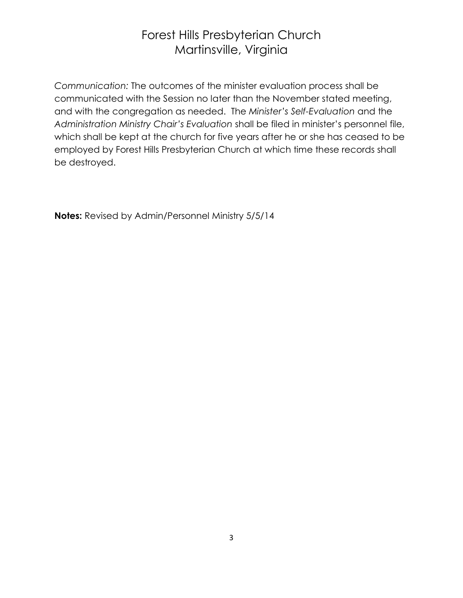*Communication:* The outcomes of the minister evaluation process shall be communicated with the Session no later than the November stated meeting, and with the congregation as needed. The *Minister's Self-Evaluation* and the *Administration Ministry Chair's Evaluation* shall be filed in minister's personnel file, which shall be kept at the church for five years after he or she has ceased to be employed by Forest Hills Presbyterian Church at which time these records shall be destroyed.

**Notes:** Revised by Admin/Personnel Ministry 5/5/14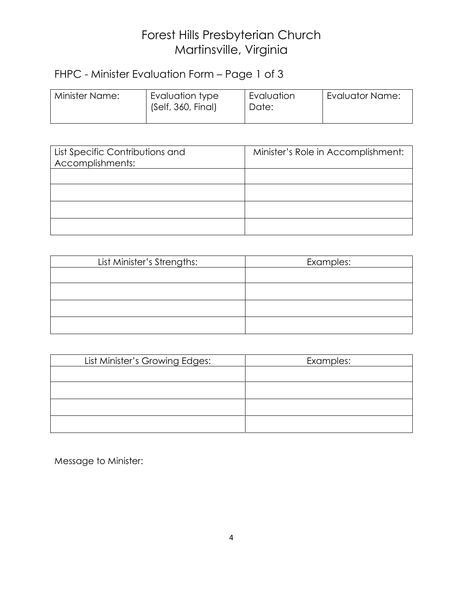## FHPC - Minister Evaluation Form – Page 1 of 3

| Minister Name: | Evaluation type<br>(Self, 360, Final) | Evaluation<br>Date: | 'Evaluator Name: |
|----------------|---------------------------------------|---------------------|------------------|
|                |                                       |                     |                  |

| List Specific Contributions and<br>Accomplishments: | Minister's Role in Accomplishment: |
|-----------------------------------------------------|------------------------------------|
|                                                     |                                    |
|                                                     |                                    |
|                                                     |                                    |
|                                                     |                                    |

| List Minister's Strengths: | Examples: |
|----------------------------|-----------|
|                            |           |
|                            |           |
|                            |           |
|                            |           |

| List Minister's Growing Edges: | Examples: |
|--------------------------------|-----------|
|                                |           |
|                                |           |
|                                |           |
|                                |           |

Message to Minister: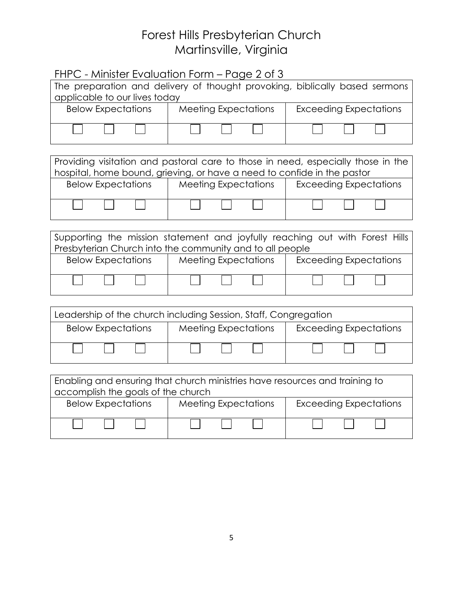| FHPC - Minister Evaluation Form – Page 2 of 3                                                                     |                                                                                                                                          |                                                                                  |  |  |
|-------------------------------------------------------------------------------------------------------------------|------------------------------------------------------------------------------------------------------------------------------------------|----------------------------------------------------------------------------------|--|--|
| The preparation and delivery of thought provoking, biblically based sermons<br>applicable to our lives today      |                                                                                                                                          |                                                                                  |  |  |
|                                                                                                                   | Below Expectations   Meeting Expectations                                                                                                | <b>Exceeding Expectations</b>                                                    |  |  |
|                                                                                                                   |                                                                                                                                          |                                                                                  |  |  |
|                                                                                                                   |                                                                                                                                          |                                                                                  |  |  |
|                                                                                                                   | hospital, home bound, grieving, or have a need to confide in the pastor                                                                  | Providing visitation and pastoral care to those in need, especially those in the |  |  |
|                                                                                                                   | Below Expectations   Meeting Expectations                                                                                                | <b>Exceeding Expectations</b>                                                    |  |  |
|                                                                                                                   |                                                                                                                                          |                                                                                  |  |  |
|                                                                                                                   | Supporting the mission statement and joyfully reaching out with Forest Hills<br>Presbyterian Church into the community and to all people |                                                                                  |  |  |
|                                                                                                                   | Below Expectations   Meeting Expectations                                                                                                | <b>Exceeding Expectations</b>                                                    |  |  |
|                                                                                                                   |                                                                                                                                          |                                                                                  |  |  |
| Leadership of the church including Session, Staff, Congregation                                                   |                                                                                                                                          |                                                                                  |  |  |
| Below Expectations                                                                                                | Meeting Expectations                                                                                                                     | <b>Exceeding Expectations</b>                                                    |  |  |
|                                                                                                                   |                                                                                                                                          |                                                                                  |  |  |
| Enabling and ensuring that church ministries have resources and training to<br>accomplish the goals of the church |                                                                                                                                          |                                                                                  |  |  |
|                                                                                                                   | Below Expectations   Meeting Expectations                                                                                                | <b>Exceeding Expectations</b>                                                    |  |  |
|                                                                                                                   |                                                                                                                                          |                                                                                  |  |  |